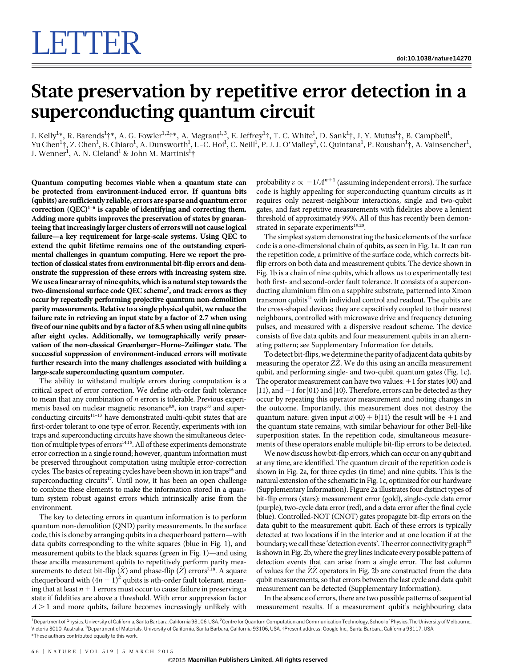## State preservation by repetitive error detection in a superconducting quantum circuit

J. Kelly $^1{}^*,$  R. Barends $^1{}^{\dagger *},$  A. G. Fowler $^{1,2}{}^{\dagger *},$  A. Megrant $^{1,3},$  E. Jeffrey $^1{}^{\dagger},$  T. C. White $^1,$  D. Sank $^1{}^{\dagger},$  J. Y. Mutus $^1{}^{\dagger},$  B. Campbell $^1,$ Yu Chen<sup>1</sup>†, Z. Chen<sup>1</sup>, B. Chiaro<sup>1</sup>, A. Dunsworth<sup>1</sup>, I.-C. Hoi<sup>1</sup>, C. Neill<sup>1</sup>, P. J. J. O'Malley<sup>1</sup>, C. Quintana<sup>1</sup>, P. Roushan<sup>1</sup>†, A. Vainsencher<sup>1</sup>, J. Wenner<sup>1</sup>, A. N. Cleland<sup>1</sup> & John M. Martinis<sup>1</sup>†

Quantum computing becomes viable when a quantum state can be protected from environment-induced error. If quantum bits (qubits) are sufficiently reliable, errors are sparse and quantum error correction  $(QEC)^{1-6}$  is capable of identifying and correcting them. Adding more qubits improves the preservation of states by guaranteeing that increasingly larger clusters of errors will not cause logical failure—a key requirement for large-scale systems. Using QEC to extend the qubit lifetime remains one of the outstanding experimental challenges in quantum computing. Here we report the protection of classical states from environmental bit-flip errors and demonstrate the suppression of these errors with increasing system size. We use a linear array of nine qubits, which is a natural step towards the two-dimensional surface code QEC scheme<sup>7</sup>, and track errors as they occur by repeatedly performing projective quantum non-demolition parity measurements. Relative to a single physical qubit, we reduce the failure rate in retrieving an input state by a factor of 2.7 when using five of our nine qubits and by a factor of 8.5 when using all nine qubits after eight cycles. Additionally, we tomographically verify preservation of the non-classical Greenberger–Horne–Zeilinger state. The successful suppression of environment-induced errors will motivate further research into the many challenges associated with building a large-scale superconducting quantum computer.

The ability to withstand multiple errors during computation is a critical aspect of error correction. We define nth-order fault tolerance to mean that any combination of n errors is tolerable. Previous experiments based on nuclear magnetic resonance<sup>8,9</sup>, ion traps<sup>10</sup> and superconducting circuits $11-13$  have demonstrated multi-qubit states that are first-order tolerant to one type of error. Recently, experiments with ion traps and superconducting circuits have shown the simultaneous detection of multiple types of errors<sup>14,15</sup>. All of these experiments demonstrate error correction in a single round; however, quantum information must be preserved throughout computation using multiple error-correction cycles. The basics of repeating cycles have been shown in ion traps<sup>16</sup> and superconducting circuits<sup>17</sup>. Until now, it has been an open challenge to combine these elements to make the information stored in a quantum system robust against errors which intrinsically arise from the environment.

The key to detecting errors in quantum information is to perform quantum non-demolition (QND) parity measurements. In the surface code, this is done by arranging qubits in a chequerboard pattern—with data qubits corresponding to the white squares (blue in Fig. 1), and measurement qubits to the black squares (green in Fig. 1)—and using these ancilla measurement qubits to repetitively perform parity measurements to detect bit-flip  $(X)$  and phase-flip  $(Z)$  errors<sup>7,18</sup>. A square chequerboard with  $(4n + 1)^2$  qubits is *n*th-order fault tolerant, meaning that at least  $n + 1$  errors must occur to cause failure in preserving a state if fidelities are above a threshold. With error suppression factor  $\Lambda$  > 1 and more qubits, failure becomes increasingly unlikely with

probability  $\varepsilon \propto -1/\Lambda^{n+1}$  (assuming independent errors). The surface code is highly appealing for superconducting quantum circuits as it requires only nearest-neighbour interactions, single and two-qubit gates, and fast repetitive measurements with fidelities above a lenient threshold of approximately 99%. All of this has recently been demonstrated in separate experiments<sup>19,20</sup>.

The simplest system demonstrating the basic elements of the surface code is a one-dimensional chain of qubits, as seen in Fig. 1a. It can run the repetition code, a primitive of the surface code, which corrects bitflip errors on both data and measurement qubits. The device shown in Fig. 1b is a chain of nine qubits, which allows us to experimentally test both first- and second-order fault tolerance. It consists of a superconducting aluminium film on a sapphire substrate, patterned into Xmon transmon qubits<sup>21</sup> with individual control and readout. The qubits are the cross-shaped devices; they are capacitively coupled to their nearest neighbours, controlled with microwave drive and frequency detuning pulses, and measured with a dispersive readout scheme. The device consists of five data qubits and four measurement qubits in an alternating pattern; see Supplementary Information for details.

To detect bit-flips, we determine the parity of adjacent data qubits by measuring the operator  $\hat{Z}\hat{Z}$ . We do this using an ancilla measurement qubit, and performing single- and two-qubit quantum gates (Fig. 1c). The operator measurement can have two values:  $+1$  for states  $|00\rangle$  and  $|11\rangle$ , and  $-1$  for  $|01\rangle$  and  $|10\rangle$ . Therefore, errors can be detected as they occur by repeating this operator measurement and noting changes in the outcome. Importantly, this measurement does not destroy the quantum nature: given input  $a|00\rangle + b|11\rangle$  the result will be +1 and the quantum state remains, with similar behaviour for other Bell-like superposition states. In the repetition code, simultaneous measurements of these operators enable multiple bit-flip errors to be detected.

We now discuss how bit-flip errors, which can occur on any qubit and at any time, are identified. The quantum circuit of the repetition code is shown in Fig. 2a, for three cycles (in time) and nine qubits. This is the natural extension of the schematic in Fig. 1c, optimized for our hardware (Supplementary Information). Figure 2a illustrates four distinct types of bit-flip errors (stars): measurement error (gold), single-cycle data error (purple), two-cycle data error (red), and a data error after the final cycle (blue). Controlled-NOT (CNOT) gates propagate bit-flip errors on the data qubit to the measurement qubit. Each of these errors is typically detected at two locations if in the interior and at one location if at the boundary; we call these 'detection events'. The error connectivity graph<sup>22</sup> is shown in Fig. 2b, where the grey lines indicate every possible pattern of detection events that can arise from a single error. The last column of values for the Z^Z^ operators in Fig. 2b are constructed from the data qubit measurements, so that errors between the last cycle and data qubit measurement can be detected (Supplementary Information).

In the absence of errors, there are two possible patterns of sequential measurement results. If a measurement qubit's neighbouring data

<sup>\*</sup>These authors contributed equally to this work. <sup>1</sup> Department of Physics, University of California, Santa Barbara, California 93106, USA. <sup>2</sup> Centre for Quantum Computation and Communication Technology, School of Physics, The University of Melbourne Victoria 3010, Australia. <sup>3</sup>Department of Materials, University of California, Santa Barbara, California 93106, USA. †Present address: Google Inc., Santa Barbara, California 93117, USA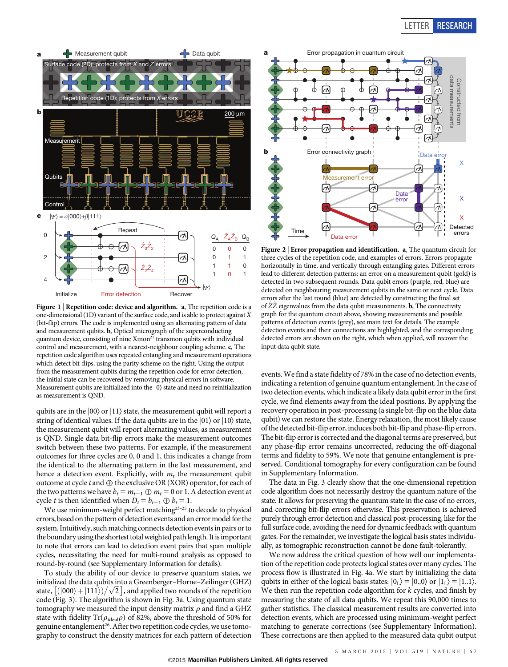

Figure 1 | Repetition code: device and algorithm. a, The repetition code is a one-dimensional (1D) variant of the surface code, and is able to protect against  $\hat{X}$ (bit-flip) errors. The code is implemented using an alternating pattern of data and measurement qubits. b, Optical micrograph of the superconducting quantum device, consisting of nine Xmon<sup>21</sup> transmon qubits with individual control and measurement, with a nearest-neighbour coupling scheme. c, The repetition code algorithm uses repeated entangling and measurement operations which detect bit-flips, using the parity scheme on the right. Using the output from the measurement qubits during the repetition code for error detection, the initial state can be recovered by removing physical errors in software. Measurement qubits are initialized into the  $|0\rangle$  state and need no reinitialization as measurement is QND.

qubits are in the  $|00\rangle$  or  $|11\rangle$  state, the measurement qubit will report a string of identical values. If the data qubits are in the  $|01\rangle$  or  $|10\rangle$  state, the measurement qubit will report alternating values, as measurement is QND. Single data bit-flip errors make the measurement outcomes switch between these two patterns. For example, if the measurement outcomes for three cycles are 0, 0 and 1, this indicates a change from the identical to the alternating pattern in the last measurement, and hence a detection event. Explicitly, with  $m_t$  the measurement qubit outcome at cycle  $t$  and  $\oplus$  the exclusive OR (XOR) operator, for each of the two patterns we have  $b_t = m_{t-1} \oplus m_t = 0$  or 1. A detection event at cycle *t* is then identified when  $D_t = b_{t-1} \oplus b_t = 1$ .

We use minimum-weight perfect matching<sup>23-25</sup> to decode to physical errors, based on the pattern of detection events and an error model for the system. Intuitively, such matching connects detection events in pairs or to the boundary using the shortest totalweighted path length. It isimportant to note that errors can lead to detection event pairs that span multiple cycles, necessitating the need for multi-round analysis as opposed to round-by-round (see Supplementary Information for details).

To study the ability of our device to preserve quantum states, we initialized the data qubits into a Greenberger–Horne–Zeilinger (GHZ) initialized the data qubits into a Greenberger–Horne–Zellinger (GHZ)<br>state,  $[(|000\rangle + |111\rangle)/\sqrt{2}$  , and applied two rounds of the repetition code (Fig. 3). The algorithm is shown in Fig. 3a. Using quantum state tomography we measured the input density matrix  $\rho$  and find a GHZ state with fidelity  $\mathrm{Tr}(\rho_{\mathrm{ideal}}\rho)$  of 82%, above the threshold of 50% for genuine entanglement<sup>26</sup>. After two repetition code cycles, we use tomography to construct the density matrices for each pattern of detection



Figure 2 <sup>|</sup> Error propagation and identification. a, The quantum circuit for three cycles of the repetition code, and examples of errors. Errors propagate horizontally in time, and vertically through entangling gates. Different errors lead to different detection patterns: an error on a measurement qubit (gold) is detected in two subsequent rounds. Data qubit errors (purple, red, blue) are detected on neighbouring measurement qubits in the same or next cycle. Data errors after the last round (blue) are detected by constructing the final set of  $ZZ$  eigenvalues from the data qubit measurements. **b**, The connectivity graph for the quantum circuit above, showing measurements and possible patterns of detection events (grey), see main text for details. The example detection events and their connections are highlighted, and the corresponding detected errors are shown on the right, which when applied, will recover the input data qubit state.

events.We find a state fidelity of 78% in the case of no detection events, indicating a retention of genuine quantum entanglement. In the case of two detection events, which indicate a likely data qubit error in the first cycle, we find elements away from the ideal positions. By applying the recovery operation in post-processing (a single bit-flip on the blue data qubit) we can restore the state. Energy relaxation, the most likely cause of the detected bit-flip error, induces both bit-flip and phase-flip errors. The bit-flip error is corrected and the diagonal terms are preserved, but any phase-flip error remains uncorrected, reducing the off-diagonal terms and fidelity to 59%. We note that genuine entanglement is preserved. Conditional tomography for every configuration can be found in Supplementary Information.

The data in Fig. 3 clearly show that the one-dimensional repetition code algorithm does not necessarily destroy the quantum nature of the state. It allows for preserving the quantum state in the case of no errors, and correcting bit-flip errors otherwise. This preservation is achieved purely through error detection and classical post-processing, like for the full surface code, avoiding the need for dynamic feedback with quantum gates. For the remainder, we investigate the logical basis states individually, as tomographic reconstruction cannot be done fault-tolerantly.

We now address the critical question of how well our implementation of the repetition code protects logical states over many cycles. The process flow is illustrated in Fig. 4a. We start by initializing the data qubits in either of the logical basis states:  $|0<sub>L</sub>\rangle = |0.0\rangle$  or  $|1<sub>L</sub>\rangle = |1.1\rangle$ . We then run the repetition code algorithm for  $k$  cycles, and finish by measuring the state of all data qubits. We repeat this 90,000 times to gather statistics. The classical measurement results are converted into detection events, which are processed using minimum-weight perfect matching to generate corrections (see Supplementary Information). These corrections are then applied to the measured data qubit output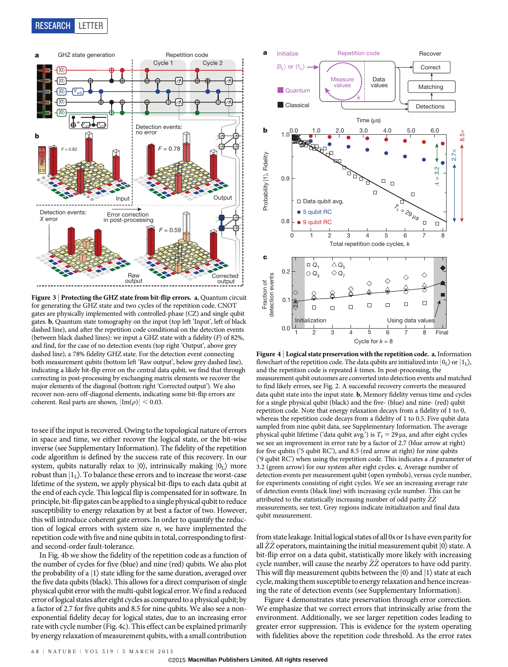

Figure 3 | Protecting the GHZ state from bit-flip errors. a, Quantum circuit for generating the GHZ state and two cycles of the repetition code. CNOT gates are physically implemented with controlled-phase (CZ) and single qubit gates. b, Quantum state tomography on the input (top left 'Input', left of black dashed line), and after the repetition code conditional on the detection events (between black dashed lines): we input a GHZ state with a fidelity (F) of 82%, and find, for the case of no detection events (top right 'Output', above grey dashed line), a 78% fidelity GHZ state. For the detection event connecting both measurement qubits (bottom left 'Raw output', below grey dashed line), indicating a likely bit-flip error on the central data qubit, we find that through correcting in post-processing by exchanging matrix elements we recover the major elements of the diagonal (bottom right 'Corrected output'). We also recover non-zero off-diagonal elements, indicating some bit-flip errors are coherent. Real parts are shown,  $|Im(\rho)| < 0.03$ .

to see if the input is recovered. Owing to the topological nature of errors in space and time, we either recover the logical state, or the bit-wise inverse (see Supplementary Information). The fidelity of the repetition code algorithm is defined by the success rate of this recovery. In our system, qubits naturally relax to  $|0\rangle$ , intrinsically making  $|0_L\rangle$  more robust than  $|1_L\rangle$ . To balance these errors and to increase the worst-case lifetime of the system, we apply physical bit-flips to each data qubit at the end of each cycle. This logical flip is compensated for in software. In principle, bit-flip gates can be applied to a single physical qubit to reduce susceptibility to energy relaxation by at best a factor of two. However, this will introduce coherent gate errors. In order to quantify the reduction of logical errors with system size  $n$ , we have implemented the repetition code with five and nine qubits in total, corresponding to firstand second-order fault-tolerance.

In Fig. 4b we show the fidelity of the repetition code as a function of the number of cycles for five (blue) and nine (red) qubits. We also plot the probability of a  $|1\rangle$  state idling for the same duration, averaged over the five data qubits (black). This allows for a direct comparison of single physical qubit error with the multi-qubit logical error.We find a reduced error of logical states after eight cycles as compared to a physical qubit; by a factor of 2.7 for five qubits and 8.5 for nine qubits. We also see a nonexponential fidelity decay for logical states, due to an increasing error rate with cycle number (Fig. 4c). This effect can be explained primarily by energy relaxation of measurement qubits, with a small contribution



Figure 4 | Logical state preservation with the repetition code. a, Information flowchart of the repetition code. The data qubits are initialized into  $|0_I\rangle$  or  $|1_I\rangle$ , and the repetition code is repeated  $k$  times. In post-processing, the measurement qubit outcomes are converted into detection events and matched to find likely errors, see Fig. 2. A successful recovery converts the measured data qubit state into the input state. b, Memory fidelity versus time and cycles for a single physical qubit (black) and the five- (blue) and nine- (red) qubit repetition code. Note that energy relaxation decays from a fidelity of 1 to 0, whereas the repetition code decays from a fidelity of 1 to 0.5. Five qubit data sampled from nine qubit data, see Supplementary Information. The average physical qubit lifetime ('data qubit avg.') is  $T_1 = 29 \,\mu s$ , and after eight cycles we see an improvement in error rate by a factor of 2.7 (blue arrow at right) for five qubits ('5 qubit RC'), and 8.5 (red arrow at right) for nine qubits ('9 qubit RC') when using the repetition code. This indicates a  $\Lambda$  parameter of 3.2 (green arrow) for our system after eight cycles. c, Average number of detection events per measurement qubit (open symbols), versus cycle number, for experiments consisting of eight cycles. We see an increasing average rate of detection events (black line) with increasing cycle number. This can be attributed to the statistically increasing number of odd parity  $\ddot{Z}\ddot{Z}$ measurements, see text. Grey regions indicate initialization and final data qubit measurement.

from state leakage. Initial logical states of all 0s or 1s have even parity for all ZZ operators, maintaining the initial measurement qubit  $|0\rangle$  state. A bit-flip error on a data qubit, statistically more likely with increasing cycle number, will cause the nearby  $\tilde{Z}\tilde{Z}$  operators to have odd parity. This will flip measurement qubits between the  $|0\rangle$  and  $|1\rangle$  state at each cycle, making them susceptible to energy relaxation and hence increasing the rate of detection events (see Supplementary Information).

Figure 4 demonstrates state preservation through error correction. We emphasize that we correct errors that intrinsically arise from the environment. Additionally, we see larger repetition codes leading to greater error suppression. This is evidence for the system operating with fidelities above the repetition code threshold. As the error rates